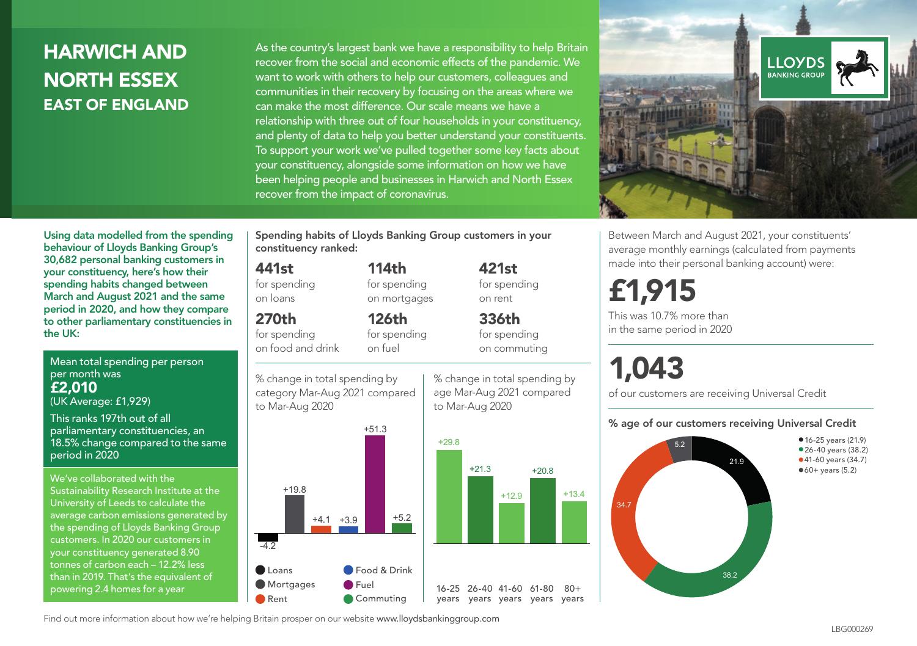## HARWICH AND NORTH ESSEX EAST OF ENGLAND

As the country's largest bank we have a responsibility to help Britain recover from the social and economic effects of the pandemic. We want to work with others to help our customers, colleagues and communities in their recovery by focusing on the areas where we can make the most difference. Our scale means we have a relationship with three out of four households in your constituency, and plenty of data to help you better understand your constituents. To support your work we've pulled together some key facts about your constituency, alongside some information on how we have been helping people and businesses in Harwich and North Essex recover from the impact of coronavirus.



Between March and August 2021, your constituents' average monthly earnings (calculated from payments made into their personal banking account) were:

# £1,915

This was 10.7% more than in the same period in 2020

# 1,043

+20.8

% change in total spending by age Mar-Aug 2021 compared

421st for spending on rent

336th for spending on commuting

+13.4

 $80 +$ 

of our customers are receiving Universal Credit

#### % age of our customers receiving Universal Credit



Using data modelled from the spending behaviour of Lloyds Banking Group's 30,682 personal banking customers in your constituency, here's how their spending habits changed between March and August 2021 and the same period in 2020, and how they compare to other parliamentary constituencies in the UK:

Mean total spending per person per month was £2,010

(UK Average: £1,929)

This ranks 197th out of all parliamentary constituencies, an 18.5% change compared to the same period in 2020

We've collaborated with the Sustainability Research Institute at the University of Leeds to calculate the average carbon emissions generated by the spending of Lloyds Banking Group customers. In 2020 our customers in your constituency generated 8.90 tonnes of carbon each – 12.2% less than in 2019. That's the equivalent of powering 2.4 homes for a year

Spending habits of Lloyds Banking Group customers in your constituency ranked:

> 114th for spending on mortgages

126th for spending

#### 441st

for spending on loans

## 270th

for spending on food and drink

on fuel





Find out more information about how we're helping Britain prosper on our website www.lloydsbankinggroup.com